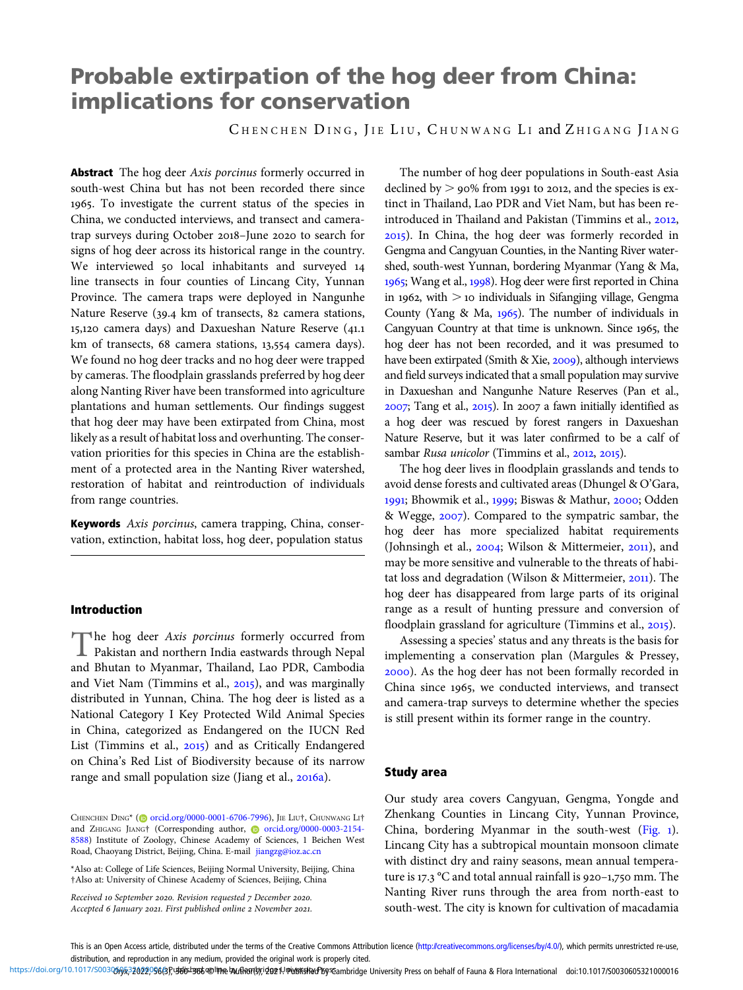# Probable extirpation of the hog deer from China: implications for conservation

CHENCHEN DING, JIE LIU, CHUNWANG LI and ZHIGANG JIANG

Abstract The hog deer Axis porcinus formerly occurred in south-west China but has not been recorded there since . To investigate the current status of the species in China, we conducted interviews, and transect and cameratrap surveys during October 2018-June 2020 to search for signs of hog deer across its historical range in the country. We interviewed 50 local inhabitants and surveyed 14 line transects in four counties of Lincang City, Yunnan Province. The camera traps were deployed in Nangunhe Nature Reserve (39.4 km of transects, 82 camera stations, 15,120 camera days) and Daxueshan Nature Reserve (41.1 km of transects, 68 camera stations, 13,554 camera days). We found no hog deer tracks and no hog deer were trapped by cameras. The floodplain grasslands preferred by hog deer along Nanting River have been transformed into agriculture plantations and human settlements. Our findings suggest that hog deer may have been extirpated from China, most likely as a result of habitat loss and overhunting. The conservation priorities for this species in China are the establishment of a protected area in the Nanting River watershed, restoration of habitat and reintroduction of individuals from range countries.

Keywords Axis porcinus, camera trapping, China, conservation, extinction, habitat loss, hog deer, population status

### Introduction

The hog deer Axis porcinus formerly occurred from<br>Pakistan and northern India eastwards through Nepal<br>Philippe Corporation and Bhutan to Myanmar, Thailand, Lao PDR, Cambodia and Viet Nam (Timmins et al., 2015), and was marginally distributed in Yunnan, China. The hog deer is listed as a National Category I Key Protected Wild Animal Species in China, categorized as Endangered on the IUCN Red List (Timmins et al.,  $2015$ ) and as Critically Endangered on China's Red List of Biodiversity because of its narrow range and small population size (Jiang et al., 2016a).

\*Also at: College of Life Sciences, Beijing Normal University, Beijing, China †Also at: University of Chinese Academy of Sciences, Beijing, China

Received 10 September 2020. Revision requested 7 December 2020. Accepted 6 January 2021. First published online 2 November 2021.

The number of hog deer populations in South-east Asia declined by  $>$  90% from 1991 to 2012, and the species is extinct in Thailand, Lao PDR and Viet Nam, but has been reintroduced in Thailand and Pakistan (Timmins et al., 2012, ). In China, the hog deer was formerly recorded in Gengma and Cangyuan Counties, in the Nanting River watershed, south-west Yunnan, bordering Myanmar (Yang & Ma, 1965; Wang et al., 1998). Hog deer were first reported in China in 1962, with  $>$  10 individuals in Sifangjing village, Gengma County (Yang & Ma,  $1965$ ). The number of individuals in Cangyuan Country at that time is unknown. Since 1965, the hog deer has not been recorded, and it was presumed to have been extirpated (Smith & Xie, 2009), although interviews and field surveys indicated that a small population may survive in Daxueshan and Nangunhe Nature Reserves (Pan et al.,  $2007$ ; Tang et al.,  $2015$ ). In  $2007$  a fawn initially identified as a hog deer was rescued by forest rangers in Daxueshan Nature Reserve, but it was later confirmed to be a calf of sambar Rusa unicolor (Timmins et al., 2012, 2015).

The hog deer lives in floodplain grasslands and tends to avoid dense forests and cultivated areas (Dhungel & O'Gara,  $1991$ ; Bhowmik et al.,  $1999$ ; Biswas & Mathur,  $2000$ ; Odden & Wegge, 2007). Compared to the sympatric sambar, the hog deer has more specialized habitat requirements (Johnsingh et al., 2004; Wilson & Mittermeier, 2011), and may be more sensitive and vulnerable to the threats of habitat loss and degradation (Wilson & Mittermeier, 2011). The hog deer has disappeared from large parts of its original range as a result of hunting pressure and conversion of floodplain grassland for agriculture (Timmins et al., 2015).

Assessing a species' status and any threats is the basis for implementing a conservation plan (Margules & Pressey, ). As the hog deer has not been formally recorded in China since 1965, we conducted interviews, and transect and camera-trap surveys to determine whether the species is still present within its former range in the country.

#### Study area

Our study area covers Cangyuan, Gengma, Yongde and Zhenkang Counties in Lincang City, Yunnan Province, China, bordering Myanmar in the south-west ([Fig.](#page-1-0) ). Lincang City has a subtropical mountain monsoon climate with distinct dry and rainy seasons, mean annual temperature is 17.3 °C and total annual rainfall is 920-1,750 mm. The Nanting River runs through the area from north-east to south-west. The city is known for cultivation of macadamia

https://doi.org/10.1017/S00306652302205663P.99609F986@lime but and and by the form of the compended by the state of the compended of Fauna & Flora International doi:10.1017/S0030605321000016

CHENCHEN DING\* [\(](https://orcid.org)@ [orcid.org/0000-0001-6706-7996](https://orcid.org/0000-0001-6706-7996)), JIE LIU†, CHUNWANG LI† and ZHIGANG JIANG† (Corresponding author, corred.org/0000-0003-2154-[8588](https://orcid.org/0000-0003-2154-8588)) Institute of Zoology, Chinese Academy of Sciences, 1 Beichen West Road, Chaoyang District, Beijing, China. E-mail [jiangzg@ioz.ac.cn](mailto:jiangzg@ioz.ac.cn)

This is an Open Access article, distributed under the terms of the Creative Commons Attribution licence [\(http://creativecommons.org/licenses/by/4.0/\)](http://creativecommons.org/licenses/by/4.0/), which permits unrestricted re-use, distribution, and reproduction in any medium, provided the original work is properly cited.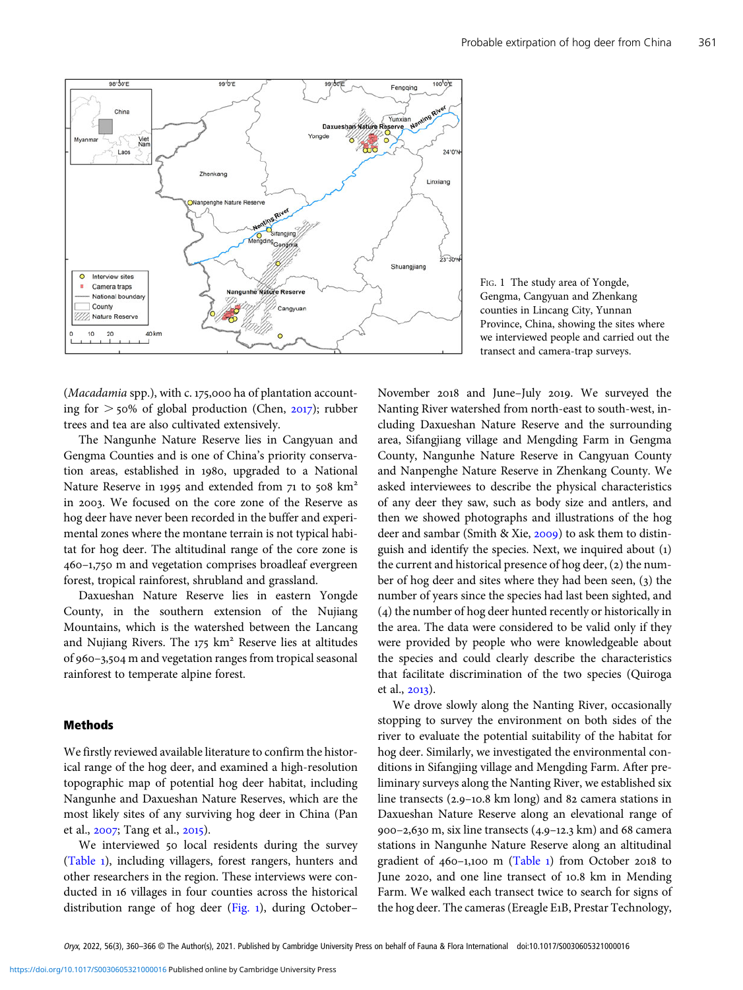<span id="page-1-0"></span>

(Macadamia spp.), with c. 175,000 ha of plantation accounting for  $> 50\%$  of global production (Chen, 2017); rubber trees and tea are also cultivated extensively.

The Nangunhe Nature Reserve lies in Cangyuan and Gengma Counties and is one of China's priority conservation areas, established in 1980, upgraded to a National Nature Reserve in 1995 and extended from  $71$  to  $508 \text{ km}^2$ in 2003. We focused on the core zone of the Reserve as hog deer have never been recorded in the buffer and experimental zones where the montane terrain is not typical habitat for hog deer. The altitudinal range of the core zone is –, m and vegetation comprises broadleaf evergreen forest, tropical rainforest, shrubland and grassland.

Daxueshan Nature Reserve lies in eastern Yongde County, in the southern extension of the Nujiang Mountains, which is the watershed between the Lancang and Nujiang Rivers. The  $175 \text{ km}^2$  Reserve lies at altitudes of 960-3,504 m and vegetation ranges from tropical seasonal rainforest to temperate alpine forest.

#### Methods

We firstly reviewed available literature to confirm the historical range of the hog deer, and examined a high-resolution topographic map of potential hog deer habitat, including Nangunhe and Daxueshan Nature Reserves, which are the most likely sites of any surviving hog deer in China (Pan et al.,  $2007$ ; Tang et al.,  $2015$ ).

We interviewed 50 local residents during the survey [\(Table](#page-2-0) ), including villagers, forest rangers, hunters and other researchers in the region. These interviews were conducted in 16 villages in four counties across the historical distribution range of hog deer (Fig. 1), during October-

FIG. 1 The study area of Yongde, Gengma, Cangyuan and Zhenkang counties in Lincang City, Yunnan Province, China, showing the sites where we interviewed people and carried out the transect and camera-trap surveys.

November 2018 and June-July 2019. We surveyed the Nanting River watershed from north-east to south-west, including Daxueshan Nature Reserve and the surrounding area, Sifangjiang village and Mengding Farm in Gengma County, Nangunhe Nature Reserve in Cangyuan County and Nanpenghe Nature Reserve in Zhenkang County. We asked interviewees to describe the physical characteristics of any deer they saw, such as body size and antlers, and then we showed photographs and illustrations of the hog deer and sambar (Smith & Xie, 2009) to ask them to distinguish and identify the species. Next, we inquired about (1) the current and historical presence of hog deer,  $(2)$  the number of hog deer and sites where they had been seen, (3) the number of years since the species had last been sighted, and (4) the number of hog deer hunted recently or historically in the area. The data were considered to be valid only if they were provided by people who were knowledgeable about the species and could clearly describe the characteristics that facilitate discrimination of the two species (Quiroga et al., 2013).

We drove slowly along the Nanting River, occasionally stopping to survey the environment on both sides of the river to evaluate the potential suitability of the habitat for hog deer. Similarly, we investigated the environmental conditions in Sifangjing village and Mengding Farm. After preliminary surveys along the Nanting River, we established six line transects  $(2.9-10.8 \text{ km} \text{ long})$  and  $82$  camera stations in Daxueshan Nature Reserve along an elevational range of  $900-2,630$  m, six line transects  $(4.9-12.3 \text{ km})$  and 68 camera stations in Nangunhe Nature Reserve along an altitudinal gradient of  $460-1,100$  m [\(Table](#page-2-0) 1) from October 2018 to June 2020, and one line transect of 10.8 km in Mending Farm. We walked each transect twice to search for signs of the hog deer. The cameras (Ereagle E1B, Prestar Technology,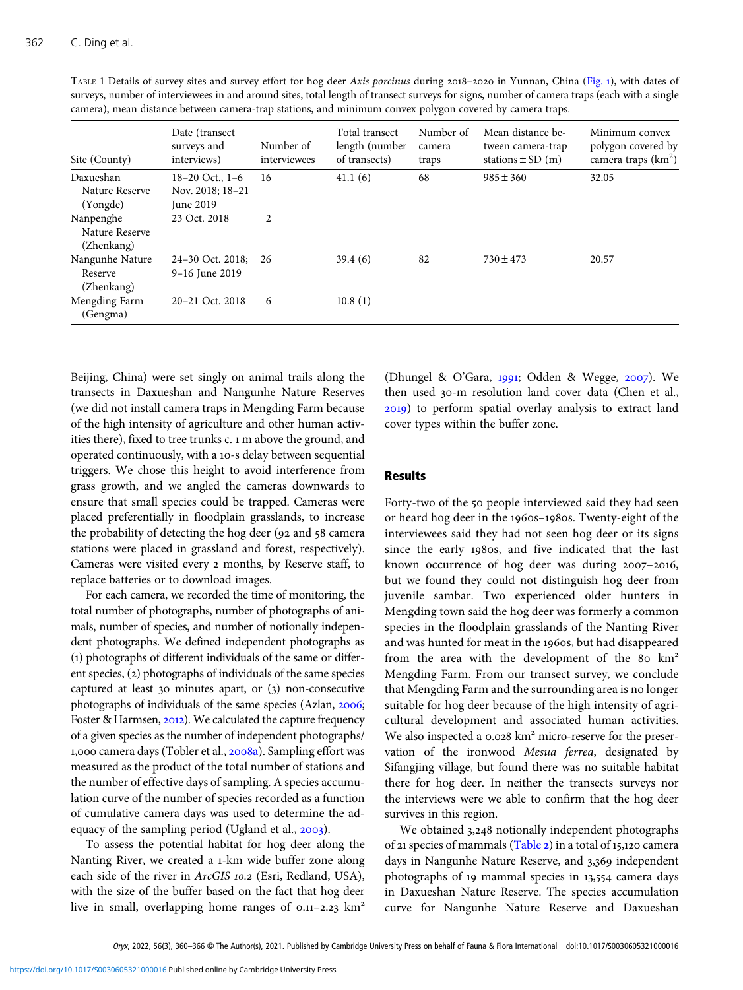| Site (County)                             | Date (transect)<br>surveys and<br>interviews)        | Number of<br>interviewees | Total transect<br>length (number<br>of transects) | Number of<br>camera<br>traps | Mean distance be-<br>tween camera-trap<br>stations $\pm$ SD (m) | Minimum convex<br>polygon covered by<br>camera traps $(km^2)$ |
|-------------------------------------------|------------------------------------------------------|---------------------------|---------------------------------------------------|------------------------------|-----------------------------------------------------------------|---------------------------------------------------------------|
| Daxueshan<br>Nature Reserve<br>(Yongde)   | $18-20$ Oct., $1-6$<br>Nov. 2018; 18-21<br>June 2019 | 16                        | 41.1(6)                                           | 68                           | $985 \pm 360$                                                   | 32.05                                                         |
| Nanpenghe<br>Nature Reserve<br>(Zhenkang) | 23 Oct. 2018                                         | 2                         |                                                   |                              |                                                                 |                                                               |
| Nangunhe Nature<br>Reserve<br>(Zhenkang)  | 24–30 Oct. 2018;<br>9-16 June 2019                   | 26                        | 39.4(6)                                           | 82                           | $730 \pm 473$                                                   | 20.57                                                         |
| Mengding Farm<br>(Gengma)                 | 20-21 Oct. 2018                                      | 6                         | 10.8(1)                                           |                              |                                                                 |                                                               |

<span id="page-2-0"></span>TABLE 1 Details of survey sites and survey effort for hog deer Axis porcinus during 2018-2020 in Yunnan, China [\(Fig.](#page-1-0) 1), with dates of surveys, number of interviewees in and around sites, total length of transect surveys for signs, number of camera traps (each with a single camera), mean distance between camera-trap stations, and minimum convex polygon covered by camera traps.

Beijing, China) were set singly on animal trails along the transects in Daxueshan and Nangunhe Nature Reserves (we did not install camera traps in Mengding Farm because of the high intensity of agriculture and other human activities there), fixed to tree trunks c. 1 m above the ground, and operated continuously, with a 10-s delay between sequential triggers. We chose this height to avoid interference from grass growth, and we angled the cameras downwards to ensure that small species could be trapped. Cameras were placed preferentially in floodplain grasslands, to increase the probability of detecting the hog deer (92 and 58 camera stations were placed in grassland and forest, respectively). Cameras were visited every 2 months, by Reserve staff, to replace batteries or to download images.

For each camera, we recorded the time of monitoring, the total number of photographs, number of photographs of animals, number of species, and number of notionally independent photographs. We defined independent photographs as () photographs of different individuals of the same or different species, (2) photographs of individuals of the same species captured at least  $\alpha$  minutes apart, or  $(\alpha)$  non-consecutive photographs of individuals of the same species (Azlan, 2006; Foster & Harmsen, 2012). We calculated the capture frequency of a given species as the number of independent photographs/ 1,000 camera days (Tobler et al., 2008a). Sampling effort was measured as the product of the total number of stations and the number of effective days of sampling. A species accumulation curve of the number of species recorded as a function of cumulative camera days was used to determine the adequacy of the sampling period (Ugland et al., 2003).

To assess the potential habitat for hog deer along the Nanting River, we created a 1-km wide buffer zone along each side of the river in ArcGIS 10.2 (Esri, Redland, USA), with the size of the buffer based on the fact that hog deer live in small, overlapping home ranges of  $0.11-2.23$  km<sup>2</sup> (Dhungel & O'Gara, 1991; Odden & Wegge, 2007). We then used 30-m resolution land cover data (Chen et al., ) to perform spatial overlay analysis to extract land cover types within the buffer zone.

## Results

Forty-two of the 50 people interviewed said they had seen or heard hog deer in the 1960s-1980s. Twenty-eight of the interviewees said they had not seen hog deer or its signs since the early 1980s, and five indicated that the last known occurrence of hog deer was during  $2007 - 2016$ , but we found they could not distinguish hog deer from juvenile sambar. Two experienced older hunters in Mengding town said the hog deer was formerly a common species in the floodplain grasslands of the Nanting River and was hunted for meat in the 1960s, but had disappeared from the area with the development of the 80  $km^2$ Mengding Farm. From our transect survey, we conclude that Mengding Farm and the surrounding area is no longer suitable for hog deer because of the high intensity of agricultural development and associated human activities. We also inspected a  $0.028 \text{ km}^2$  micro-reserve for the preservation of the ironwood Mesua ferrea, designated by Sifangjing village, but found there was no suitable habitat there for hog deer. In neither the transects surveys nor the interviews were we able to confirm that the hog deer survives in this region.

We obtained 3,248 notionally independent photographs of 21 species of mammals ([Table](#page-3-0) 2) in a total of 15,120 camera days in Nangunhe Nature Reserve, and 3,369 independent photographs of 19 mammal species in 13,554 camera days in Daxueshan Nature Reserve. The species accumulation curve for Nangunhe Nature Reserve and Daxueshan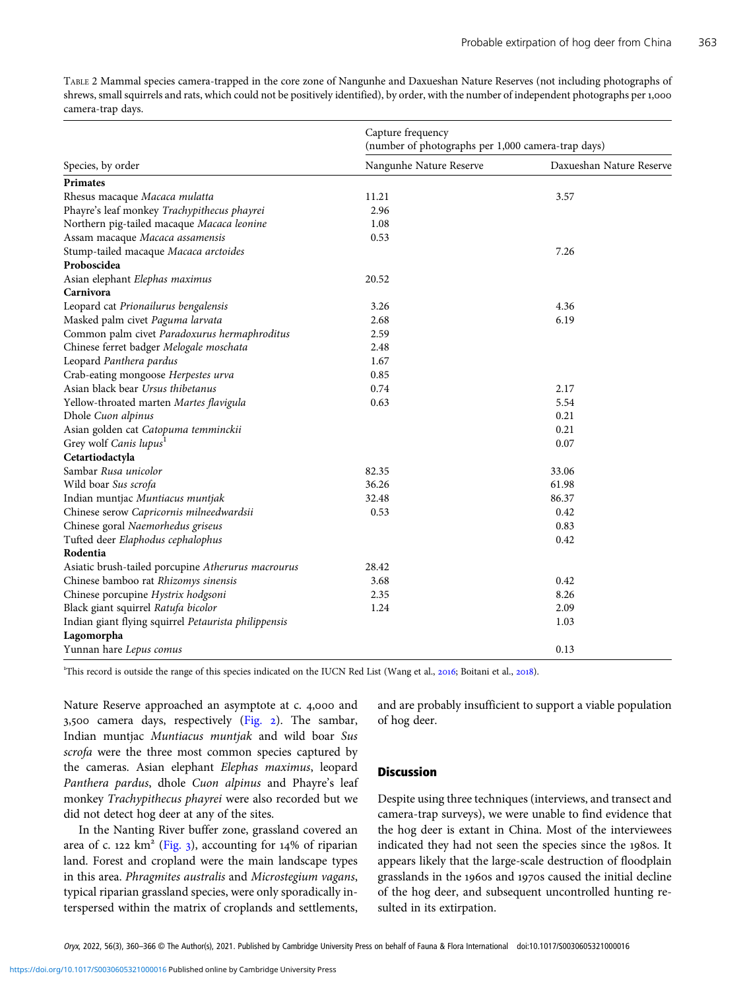<span id="page-3-0"></span>TABLE 2 Mammal species camera-trapped in the core zone of Nangunhe and Daxueshan Nature Reserves (not including photographs of shrews, small squirrels and rats, which could not be positively identified), by order, with the number of independent photographs per , camera-trap days.

|                                                      | Capture frequency<br>(number of photographs per 1,000 camera-trap days) |                          |  |  |
|------------------------------------------------------|-------------------------------------------------------------------------|--------------------------|--|--|
| Species, by order                                    | Nangunhe Nature Reserve                                                 | Daxueshan Nature Reserve |  |  |
| <b>Primates</b>                                      |                                                                         |                          |  |  |
| Rhesus macaque Macaca mulatta                        | 11.21                                                                   | 3.57                     |  |  |
| Phayre's leaf monkey Trachypithecus phayrei          | 2.96                                                                    |                          |  |  |
| Northern pig-tailed macaque Macaca leonine           | 1.08                                                                    |                          |  |  |
| Assam macaque Macaca assamensis                      | 0.53                                                                    |                          |  |  |
| Stump-tailed macaque Macaca arctoides                |                                                                         | 7.26                     |  |  |
| Proboscidea                                          |                                                                         |                          |  |  |
| Asian elephant Elephas maximus                       | 20.52                                                                   |                          |  |  |
| <b>Carnivora</b>                                     |                                                                         |                          |  |  |
| Leopard cat Prionailurus bengalensis                 | 3.26                                                                    | 4.36                     |  |  |
| Masked palm civet Paguma larvata                     | 2.68                                                                    | 6.19                     |  |  |
| Common palm civet Paradoxurus hermaphroditus         | 2.59                                                                    |                          |  |  |
| Chinese ferret badger Melogale moschata              | 2.48                                                                    |                          |  |  |
| Leopard Panthera pardus                              | 1.67                                                                    |                          |  |  |
| Crab-eating mongoose Herpestes urva                  | 0.85                                                                    |                          |  |  |
| Asian black bear Ursus thibetanus                    | 0.74                                                                    | 2.17                     |  |  |
| Yellow-throated marten Martes flavigula              | 0.63                                                                    | 5.54                     |  |  |
| Dhole Cuon alpinus                                   |                                                                         | 0.21                     |  |  |
| Asian golden cat Catopuma temminckii                 |                                                                         | 0.21                     |  |  |
| Grey wolf Canis lupus <sup>1</sup>                   |                                                                         | 0.07                     |  |  |
| Cetartiodactyla                                      |                                                                         |                          |  |  |
| Sambar Rusa unicolor                                 | 82.35                                                                   | 33.06                    |  |  |
| Wild boar Sus scrofa                                 | 36.26                                                                   | 61.98                    |  |  |
| Indian muntjac Muntiacus muntjak                     | 32.48                                                                   | 86.37                    |  |  |
| Chinese serow Capricornis milneedwardsii             | 0.53                                                                    | 0.42                     |  |  |
| Chinese goral Naemorhedus griseus                    |                                                                         | 0.83                     |  |  |
| Tufted deer Elaphodus cephalophus                    |                                                                         | 0.42                     |  |  |
| Rodentia                                             |                                                                         |                          |  |  |
| Asiatic brush-tailed porcupine Atherurus macrourus   | 28.42                                                                   |                          |  |  |
| Chinese bamboo rat Rhizomys sinensis                 | 3.68                                                                    | 0.42                     |  |  |
| Chinese porcupine Hystrix hodgsoni                   | 2.35                                                                    | 8.26                     |  |  |
| Black giant squirrel Ratufa bicolor                  | 1.24                                                                    | 2.09                     |  |  |
| Indian giant flying squirrel Petaurista philippensis |                                                                         | 1.03                     |  |  |
| Lagomorpha                                           |                                                                         |                          |  |  |
| Yunnan hare Lepus comus                              |                                                                         | 0.13                     |  |  |

<sup>1</sup>This record is outside the range of this species indicated on the IUCN Red List (Wang et al., 2016; Boitani et al., 2018).

Nature Reserve approached an asymptote at c. 4,000 and  $3,500$  camera days, respectively ([Fig.](#page-4-0) 2). The sambar, Indian muntjac Muntiacus muntjak and wild boar Sus scrofa were the three most common species captured by the cameras. Asian elephant Elephas maximus, leopard Panthera pardus, dhole Cuon alpinus and Phayre's leaf monkey Trachypithecus phayrei were also recorded but we did not detect hog deer at any of the sites.

In the Nanting River buffer zone, grassland covered an area of c. 122  $km^2$  ([Fig.](#page-4-0) 3), accounting for 14% of riparian land. Forest and cropland were the main landscape types in this area. Phragmites australis and Microstegium vagans, typical riparian grassland species, were only sporadically interspersed within the matrix of croplands and settlements,

and are probably insufficient to support a viable population of hog deer.

# **Discussion**

Despite using three techniques (interviews, and transect and camera-trap surveys), we were unable to find evidence that the hog deer is extant in China. Most of the interviewees indicated they had not seen the species since the 1980s. It appears likely that the large-scale destruction of floodplain grasslands in the 1960s and 1970s caused the initial decline of the hog deer, and subsequent uncontrolled hunting resulted in its extirpation.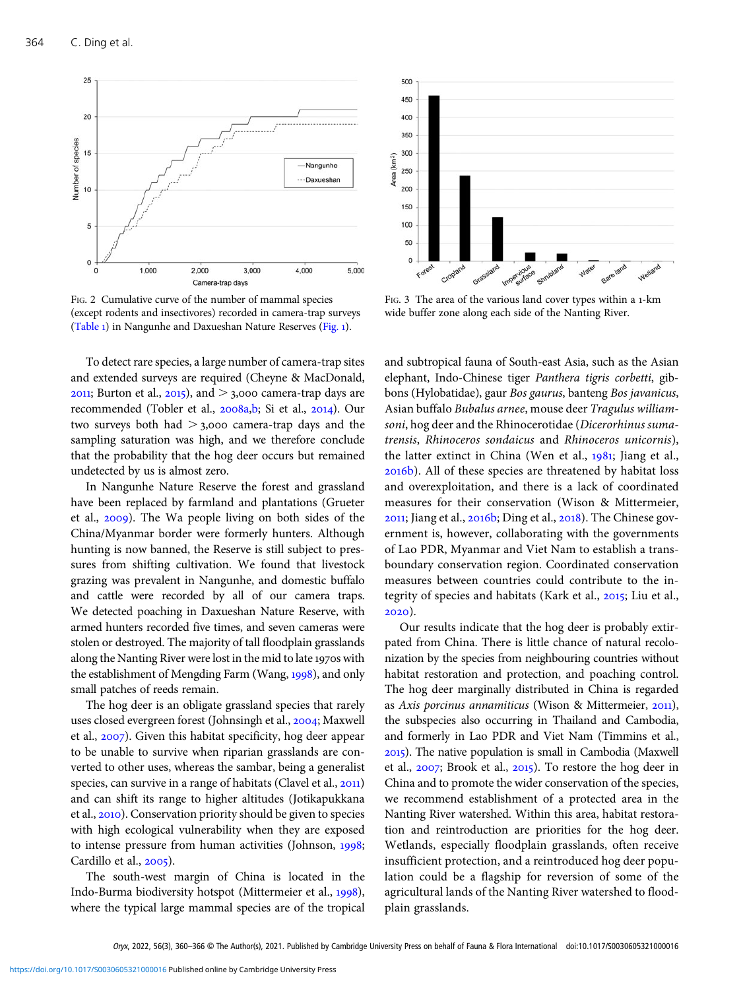<span id="page-4-0"></span>

FIG. 2 Cumulative curve of the number of mammal species (except rodents and insectivores) recorded in camera-trap surveys ([Table](#page-2-0) ) in Nangunhe and Daxueshan Nature Reserves ([Fig.](#page-1-0) ).

To detect rare species, a large number of camera-trap sites and extended surveys are required (Cheyne & MacDonald, 2011; Burton et al., 2015), and  $>$  3,000 camera-trap days are recommended (Tobler et al., 2008a,[b;](#page-6-0) Si et al., 2014). Our two surveys both had  $>$  3,000 camera-trap days and the sampling saturation was high, and we therefore conclude that the probability that the hog deer occurs but remained undetected by us is almost zero.

In Nangunhe Nature Reserve the forest and grassland have been replaced by farmland and plantations (Grueter et al., 2009). The Wa people living on both sides of the China/Myanmar border were formerly hunters. Although hunting is now banned, the Reserve is still subject to pressures from shifting cultivation. We found that livestock grazing was prevalent in Nangunhe, and domestic buffalo and cattle were recorded by all of our camera traps. We detected poaching in Daxueshan Nature Reserve, with armed hunters recorded five times, and seven cameras were stolen or destroyed. The majority of tall floodplain grasslands along the Nanting River were lost in the mid to late 1970s with the establishment of Mengding Farm (Wang, 1998), and only small patches of reeds remain.

The hog deer is an obligate grassland species that rarely uses closed evergreen forest (Johnsingh et al., 2004; Maxwell et al., 2007). Given this habitat specificity, hog deer appear to be unable to survive when riparian grasslands are converted to other uses, whereas the sambar, being a generalist species, can survive in a range of habitats (Clavel et al., 2011) and can shift its range to higher altitudes (Jotikapukkana et al., 2010). Conservation priority should be given to species with high ecological vulnerability when they are exposed to intense pressure from human activities (Johnson, 1998; Cardillo et al.,  $2005$ ).

The south-west margin of China is located in the Indo-Burma biodiversity hotspot (Mittermeier et al., 1998), where the typical large mammal species are of the tropical



FIG. 3 The area of the various land cover types within a 1-km wide buffer zone along each side of the Nanting River.

and subtropical fauna of South-east Asia, such as the Asian elephant, Indo-Chinese tiger Panthera tigris corbetti, gibbons (Hylobatidae), gaur Bos gaurus, banteng Bos javanicus, Asian buffalo Bubalus arnee, mouse deer Tragulus williamsoni, hog deer and the Rhinocerotidae (Dicerorhinus sumatrensis, Rhinoceros sondaicus and Rhinoceros unicornis), the latter extinct in China (Wen et al.,  $1981$ ; Jiang et al., 2016b). All of these species are threatened by habitat loss and overexploitation, and there is a lack of coordinated measures for their conservation (Wison & Mittermeier, 2011; Jiang et al., 2016b; Ding et al., 2018). The Chinese government is, however, collaborating with the governments of Lao PDR, Myanmar and Viet Nam to establish a transboundary conservation region. Coordinated conservation measures between countries could contribute to the integrity of species and habitats (Kark et al., 2015; Liu et al.,  $2020$ ).

Our results indicate that the hog deer is probably extirpated from China. There is little chance of natural recolonization by the species from neighbouring countries without habitat restoration and protection, and poaching control. The hog deer marginally distributed in China is regarded as Axis porcinus annamiticus (Wison & Mittermeier, 2011), the subspecies also occurring in Thailand and Cambodia, and formerly in Lao PDR and Viet Nam (Timmins et al., ). The native population is small in Cambodia (Maxwell et al.,  $2007$ ; Brook et al.,  $2015$ ). To restore the hog deer in China and to promote the wider conservation of the species, we recommend establishment of a protected area in the Nanting River watershed. Within this area, habitat restoration and reintroduction are priorities for the hog deer. Wetlands, especially floodplain grasslands, often receive insufficient protection, and a reintroduced hog deer population could be a flagship for reversion of some of the agricultural lands of the Nanting River watershed to floodplain grasslands.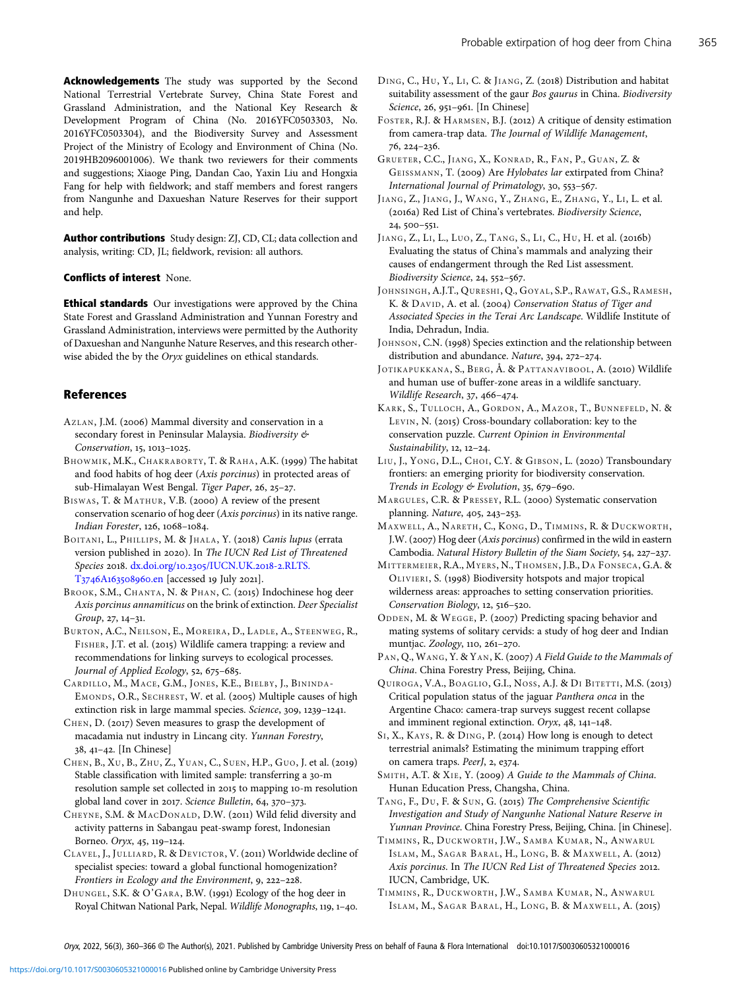<span id="page-5-0"></span>Acknowledgements The study was supported by the Second National Terrestrial Vertebrate Survey, China State Forest and Grassland Administration, and the National Key Research & Development Program of China (No. 2016YFC0503303, No. 2016YFC0503304), and the Biodiversity Survey and Assessment Project of the Ministry of Ecology and Environment of China (No. 2019HB2096001006). We thank two reviewers for their comments and suggestions; Xiaoge Ping, Dandan Cao, Yaxin Liu and Hongxia Fang for help with fieldwork; and staff members and forest rangers from Nangunhe and Daxueshan Nature Reserves for their support and help.

Author contributions Study design: ZJ, CD, CL; data collection and analysis, writing: CD, JL; fieldwork, revision: all authors.

#### Conflicts of interest None.

**Ethical standards** Our investigations were approved by the China State Forest and Grassland Administration and Yunnan Forestry and Grassland Administration, interviews were permitted by the Authority of Daxueshan and Nangunhe Nature Reserves, and this research otherwise abided the by the Oryx guidelines on ethical standards.

#### References

- AZLAN, J.M. (2006) Mammal diversity and conservation in a secondary forest in Peninsular Malaysia. Biodiversity & Conservation, 15, 1013-1025.
- BHOWMIK, M.K., CHAKRABORTY, T. & RAHA, A.K. (1999) The habitat and food habits of hog deer (Axis porcinus) in protected areas of sub-Himalayan West Bengal. Tiger Paper, 26, 25-27.
- BISWAS, T. & MATHUR, V.B. (2000) A review of the present conservation scenario of hog deer (Axis porcinus) in its native range. Indian Forester, 126, 1068-1084.
- BOITANI, L., PHILLIPS, M. & JHALA, Y. (2018) Canis lupus (errata version published in 2020). In The IUCN Red List of Threatened Species 2018. dx.doi.org/10.2305[/IUCN.UK.](https://dx.doi.org/10.2305/IUCN.UK.2018-2.RLTS.T3746A163508960.en)2018-2.RLTS. T3746A163508960.en [accessed 19 July 2021].
- BROOK, S.M., CHANTA, N. & PHAN, C. (2015) Indochinese hog deer Axis porcinus annamiticus on the brink of extinction. Deer Specialist  $Group, 27, 14-31.$
- BURTON, A.C., NEILSON, E., MOREIRA, D., LADLE, A., STEENWEG, R., FISHER, J.T. et al. (2015) Wildlife camera trapping: a review and recommendations for linking surveys to ecological processes. Journal of Applied Ecology, 52, 675-685.
- CARDILLO, M., MACE, G.M., JONES, K.E., BIELBY, J., BININDA-EMONDS, O.R., SECHREST, W. et al. (2005) Multiple causes of high extinction risk in large mammal species. Science, 309, 1239-1241.
- CHEN, D. (2017) Seven measures to grasp the development of macadamia nut industry in Lincang city. Yunnan Forestry, 38, 41-42. [In Chinese]
- CHEN, B., XU, B., ZHU, Z., YUAN, C., SUEN, H.P., GUO, J. et al. (2019) Stable classification with limited sample: transferring a 30-m resolution sample set collected in 2015 to mapping 10-m resolution global land cover in 2017. Science Bulletin, 64, 370-373.
- CHEYNE, S.M. & MACDONALD, D.W. (2011) Wild felid diversity and activity patterns in Sabangau peat-swamp forest, Indonesian Borneo. Oryx, 45, 119-124.
- CLAVEL, J., JULLIARD, R. & DEVICTOR, V. (2011) Worldwide decline of specialist species: toward a global functional homogenization? Frontiers in Ecology and the Environment, 9, 222-228.
- DHUNGEL, S.K. & O'GARA, B.W. (1991) Ecology of the hog deer in Royal Chitwan National Park, Nepal. Wildlife Monographs, 119, 1-40.
- DING, C., HU, Y., LI, C. & JIANG, Z. (2018) Distribution and habitat suitability assessment of the gaur Bos gaurus in China. Biodiversity Science, 26, 951-961. [In Chinese]
- FOSTER, R.J. & HARMSEN, B.J. (2012) A critique of density estimation from camera-trap data. The Journal of Wildlife Management, 76, 224-236.
- GRUETER, C.C., JIANG, X., KONRAD, R., FAN, P., GUAN, Z. & GEISSMANN, T. (2009) Are Hylobates lar extirpated from China? International Journal of Primatology,  $30, 553-567$ .
- JIANG, Z., JIANG, J., WANG, Y., ZHANG, E., ZHANG, Y., LI, L. et al. (2016a) Red List of China's vertebrates. Biodiversity Science,  $24, 500 - 551.$
- JIANG, Z., LI, L., LUO, Z., TANG, S., LI, C., HU, H. et al. (2016b) Evaluating the status of China's mammals and analyzing their causes of endangerment through the Red List assessment. Biodiversity Science, 24, 552-567.
- JOHNSINGH, A.J.T., QURESHI, Q., GOYAL, S.P., RAWAT, G.S., RAMESH, K. & DAVID, A. et al. (2004) Conservation Status of Tiger and Associated Species in the Terai Arc Landscape. Wildlife Institute of India, Dehradun, India.
- JOHNSON, C.N. (1998) Species extinction and the relationship between distribution and abundance. Nature, 394, 272-274.
- JOTIKAPUKKANA, S., BERG, Å. & PATTANAVIBOOL, A. (2010) Wildlife and human use of buffer-zone areas in a wildlife sanctuary. Wildlife Research, 37, 466-474.
- KARK, S., TULLOCH, A., GORDON, A., MAZOR, T., BUNNEFELD, N. & LEVIN, N. (2015) Cross-boundary collaboration: key to the conservation puzzle. Current Opinion in Environmental Sustainability, 12, 12-24.
- LIU, J., YONG, D.L., CHOI, C.Y. & GIBSON, L. (2020) Transboundary frontiers: an emerging priority for biodiversity conservation. Trends in Ecology & Evolution, 35, 679-690.
- MARGULES, C.R. & PRESSEY, R.L. (2000) Systematic conservation planning. Nature, 405, 243-253.
- MAXWELL, A., NARETH, C., KONG, D., TIMMINS, R. & DUCKWORTH, J.W. (2007) Hog deer (Axis porcinus) confirmed in the wild in eastern Cambodia. Natural History Bulletin of the Siam Society, 54, 227-237.
- MITTERMEIER, R.A., MYERS , N., THOMSEN, J.B., DA FONSECA, G.A. & OLIVIERI, S. (1998) Biodiversity hotspots and major tropical wilderness areas: approaches to setting conservation priorities. Conservation Biology, 12, 516-520.
- ODDEN, M. & WEGGE, P. (2007) Predicting spacing behavior and mating systems of solitary cervids: a study of hog deer and Indian muntjac. Zoology, 110, 261-270.
- PAN, Q., WANG, Y. & YAN, K. (2007) A Field Guide to the Mammals of China. China Forestry Press, Beijing, China.
- QUIROGA, V.A., BOAGLIO, G.I., NOSS, A.J. & DI BITETTI, M.S. (2013) Critical population status of the jaguar Panthera onca in the Argentine Chaco: camera-trap surveys suggest recent collapse and imminent regional extinction. Oryx,  $48$ ,  $141-148$ .
- SI, X., KAYS, R. & DING, P. (2014) How long is enough to detect terrestrial animals? Estimating the minimum trapping effort on camera traps. PeerJ, 2, e374.
- SMITH, A.T. & XIE, Y. (2009) A Guide to the Mammals of China. Hunan Education Press, Changsha, China.
- TANG, F., DU, F. & SUN, G. (2015) The Comprehensive Scientific Investigation and Study of Nangunhe National Nature Reserve in Yunnan Province. China Forestry Press, Beijing, China. [in Chinese].
- TIMMINS , R., DUCKWORTH, J.W., SAMBA KUMAR, N., ANWARUL ISLAM, M., SAGAR BARAL, H., LONG, B. & MAXWELL, A. (2012) Axis porcinus. In The IUCN Red List of Threatened Species 2012. IUCN, Cambridge, UK.
- TIMMINS , R., DUCKWORTH, J.W., SAMBA KUMAR, N., ANWARUL ISLAM, M., SAGAR BARAL, H., LONG, B. & MAXWELL, A. (2015)